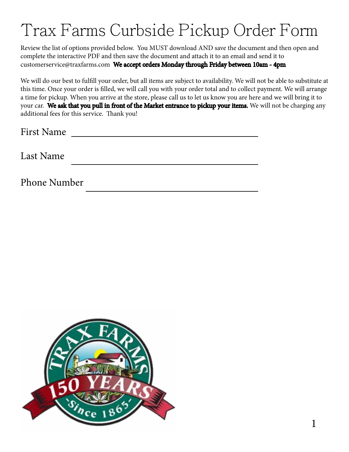## Trax Farms Curbside Pickup Order Form

Review the list of options provided below. You MUST download AND save the document and then open and complete the interactive PDF and then save the document and attach it to an email and send it to customerservice@traxfarms.com We accept orders Monday through Friday between 10am - 4pm

We will do our best to fulfill your order, but all items are subject to availability. We will not be able to substitute at this time. Once your order is filled, we will call you with your order total and to collect payment. We will arrange a time for pickup. When you arrive at the store, please call us to let us know you are here and we will bring it to your car. We ask that you pull in front of the Market entrance to pickup your items. We will not be charging any additional fees for this service. Thank you!

Last Name

Phone Number

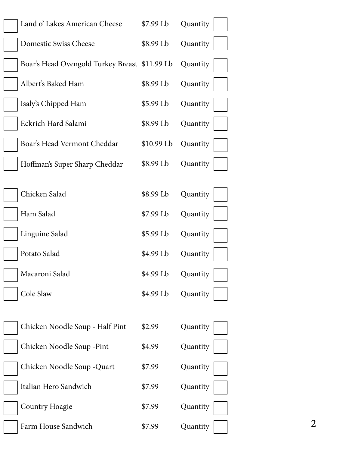| Land o' Lakes American Cheese                 | \$7.99 Lb  | Quantity                   |
|-----------------------------------------------|------------|----------------------------|
| Domestic Swiss Cheese                         | \$8.99 Lb  | Quantity                   |
| Boar's Head Ovengold Turkey Breast \$11.99 Lb |            | Quantity                   |
| Albert's Baked Ham                            | \$8.99 Lb  | Quantity                   |
| Isaly's Chipped Ham                           | \$5.99 Lb  | Quantity                   |
| Eckrich Hard Salami                           | \$8.99 Lb  | Quantity                   |
| Boar's Head Vermont Cheddar                   | \$10.99 Lb | Quantity                   |
| Hoffman's Super Sharp Cheddar                 | \$8.99 Lb  | Quantity                   |
|                                               |            |                            |
| Chicken Salad                                 | \$8.99 Lb  | Quantity                   |
| Ham Salad                                     | \$7.99 Lb  | Quantity                   |
| Linguine Salad                                | \$5.99 Lb  | Quantity                   |
| Potato Salad                                  | \$4.99 Lb  | Quantity                   |
| Macaroni Salad                                | \$4.99 Lb  | Quantity                   |
| Cole Slaw                                     | \$4.99 Lb  | Quantity                   |
|                                               |            |                            |
| Chicken Noodle Soup - Half Pint               | \$2.99     | Quantity                   |
| Chicken Noodle Soup - Pint                    | \$4.99     | Quantity                   |
| Chicken Noodle Soup - Quart                   | \$7.99     | Quantity                   |
| Italian Hero Sandwich                         | \$7.99     | Quantity                   |
| Country Hoagie                                | \$7.99     | Quantity                   |
| Farm House Sandwich                           | \$7.99     | $\overline{2}$<br>Quantity |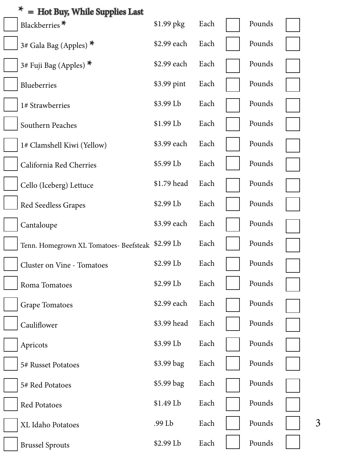| ⊁<br>= Hot Buy, While Supplies Last              |             |      |        |  |
|--------------------------------------------------|-------------|------|--------|--|
| Blackberries*                                    | $$1.99$ pkg | Each | Pounds |  |
| 3# Gala Bag (Apples) $*$                         | \$2.99 each | Each | Pounds |  |
| 3# Fuji Bag (Apples) $*$                         | \$2.99 each | Each | Pounds |  |
| Blueberries                                      | \$3.99 pint | Each | Pounds |  |
| 1# Strawberries                                  | \$3.99 Lb   | Each | Pounds |  |
| Southern Peaches                                 | $$1.99$ Lb  | Each | Pounds |  |
| 1# Clamshell Kiwi (Yellow)                       | \$3.99 each | Each | Pounds |  |
| California Red Cherries                          | \$5.99 Lb   | Each | Pounds |  |
| Cello (Iceberg) Lettuce                          | \$1.79 head | Each | Pounds |  |
| Red Seedless Grapes                              | \$2.99 Lb   | Each | Pounds |  |
| Cantaloupe                                       | \$3.99 each | Each | Pounds |  |
| Tenn. Homegrown XL Tomatoes- Beefsteak \$2.99 Lb |             | Each | Pounds |  |
| Cluster on Vine - Tomatoes                       | \$2.99 Lb   | Each | Pounds |  |
| Roma Tomatoes                                    | \$2.99 Lb   | Each | Pounds |  |
| <b>Grape Tomatoes</b>                            | \$2.99 each | Each | Pounds |  |
| Cauliflower                                      | \$3.99 head | Each | Pounds |  |
| Apricots                                         | \$3.99 Lb   | Each | Pounds |  |
| 5# Russet Potatoes                               | \$3.99 bag  | Each | Pounds |  |
| 5# Red Potatoes                                  | \$5.99 bag  | Each | Pounds |  |
| Red Potatoes                                     | \$1.49 Lb   | Each | Pounds |  |
| XL Idaho Potatoes                                | .99 Lb      | Each | Pounds |  |
| <b>Brussel Sprouts</b>                           | \$2.99 Lb   | Each | Pounds |  |

3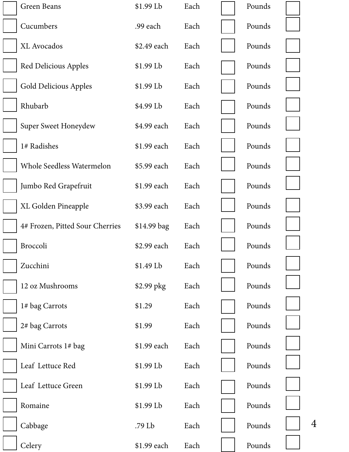| Green Beans                     | \$1.99 Lb   | Each | Pounds |  |
|---------------------------------|-------------|------|--------|--|
| Cucumbers                       | .99 each    | Each | Pounds |  |
| <b>XL</b> Avocados              | \$2.49 each | Each | Pounds |  |
| Red Delicious Apples            | $$1.99$ Lb  | Each | Pounds |  |
| Gold Delicious Apples           | $$1.99$ Lb  | Each | Pounds |  |
| Rhubarb                         | \$4.99 Lb   | Each | Pounds |  |
| Super Sweet Honeydew            | \$4.99 each | Each | Pounds |  |
| 1# Radishes                     | \$1.99 each | Each | Pounds |  |
| Whole Seedless Watermelon       | \$5.99 each | Each | Pounds |  |
| Jumbo Red Grapefruit            | \$1.99 each | Each | Pounds |  |
| XL Golden Pineapple             | \$3.99 each | Each | Pounds |  |
| 4# Frozen, Pitted Sour Cherries | \$14.99 bag | Each | Pounds |  |
| Broccoli                        | \$2.99 each | Each | Pounds |  |
| Zucchini                        | \$1.49 Lb   | Each | Pounds |  |
| 12 oz Mushrooms                 | \$2.99 pkg  | Each | Pounds |  |
| 1# bag Carrots                  | \$1.29      | Each | Pounds |  |
| 2# bag Carrots                  | \$1.99      | Each | Pounds |  |
| Mini Carrots 1# bag             | \$1.99 each | Each | Pounds |  |
| Leaf Lettuce Red                | $$1.99$ Lb  | Each | Pounds |  |
| Leaf Lettuce Green              | \$1.99 Lb   | Each | Pounds |  |
| Romaine                         | $$1.99$ Lb  | Each | Pounds |  |
| Cabbage                         | .79 Lb      | Each | Pounds |  |
| Celery                          | \$1.99 each | Each | Pounds |  |

4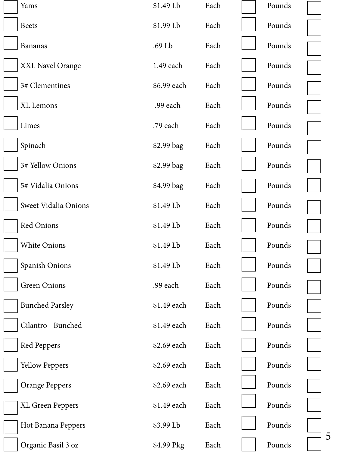| Yams                   | \$1.49 Lb   | Each | Pounds |   |
|------------------------|-------------|------|--------|---|
| <b>Beets</b>           | $$1.99$ Lb  | Each | Pounds |   |
| <b>Bananas</b>         | .69 Lb      | Each | Pounds |   |
| XXL Navel Orange       | 1.49 each   | Each | Pounds |   |
| 3# Clementines         | \$6.99 each | Each | Pounds |   |
| XL Lemons              | .99 each    | Each | Pounds |   |
| Limes                  | .79 each    | Each | Pounds |   |
| Spinach                | \$2.99 bag  | Each | Pounds |   |
| 3# Yellow Onions       | \$2.99 bag  | Each | Pounds |   |
| 5# Vidalia Onions      | \$4.99 bag  | Each | Pounds |   |
| Sweet Vidalia Onions   | \$1.49 Lb   | Each | Pounds |   |
| <b>Red Onions</b>      | \$1.49 Lb   | Each | Pounds |   |
| <b>White Onions</b>    | \$1.49 Lb   | Each | Pounds |   |
| Spanish Onions         | \$1.49 Lb   | Each | Pounds |   |
| <b>Green Onions</b>    | .99 each    | Each | Pounds |   |
| <b>Bunched Parsley</b> | \$1.49 each | Each | Pounds |   |
| Cilantro - Bunched     | \$1.49 each | Each | Pounds |   |
| Red Peppers            | \$2.69 each | Each | Pounds |   |
| <b>Yellow Peppers</b>  | \$2.69 each | Each | Pounds |   |
| <b>Orange Peppers</b>  | \$2.69 each | Each | Pounds |   |
| XL Green Peppers       | \$1.49 each | Each | Pounds |   |
| Hot Banana Peppers     | \$3.99 Lb   | Each | Pounds |   |
| Organic Basil 3 oz     | \$4.99 Pkg  | Each | Pounds | 5 |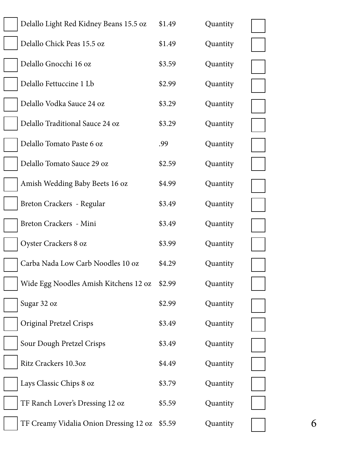| Delallo Light Red Kidney Beans 15.5 oz | \$1.49 | Quantity |  |
|----------------------------------------|--------|----------|--|
| Delallo Chick Peas 15.5 oz             | \$1.49 | Quantity |  |
| Delallo Gnocchi 16 oz                  | \$3.59 | Quantity |  |
| Delallo Fettuccine 1 Lb                | \$2.99 | Quantity |  |
| Delallo Vodka Sauce 24 oz              | \$3.29 | Quantity |  |
| Delallo Traditional Sauce 24 oz        | \$3.29 | Quantity |  |
| Delallo Tomato Paste 6 oz              | .99    | Quantity |  |
| Delallo Tomato Sauce 29 oz             | \$2.59 | Quantity |  |
| Amish Wedding Baby Beets 16 oz         | \$4.99 | Quantity |  |
| Breton Crackers - Regular              | \$3.49 | Quantity |  |
| Breton Crackers - Mini                 | \$3.49 | Quantity |  |
| Oyster Crackers 8 oz                   | \$3.99 | Quantity |  |
| Carba Nada Low Carb Noodles 10 oz      | \$4.29 | Quantity |  |
| Wide Egg Noodles Amish Kitchens 12 oz  | \$2.99 | Quantity |  |
| Sugar 32 oz                            | \$2.99 | Quantity |  |
| <b>Original Pretzel Crisps</b>         | \$3.49 | Quantity |  |
| Sour Dough Pretzel Crisps              | \$3.49 | Quantity |  |
| Ritz Crackers 10.3oz                   | \$4.49 | Quantity |  |
| Lays Classic Chips 8 oz                | \$3.79 | Quantity |  |
| TF Ranch Lover's Dressing 12 oz        | \$5.59 | Quantity |  |
| TF Creamy Vidalia Onion Dressing 12 oz | \$5.59 | Quantity |  |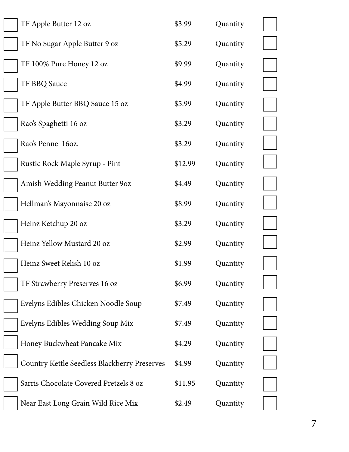| TF Apple Butter 12 oz                        | \$3.99  | Quantity |  |
|----------------------------------------------|---------|----------|--|
| TF No Sugar Apple Butter 9 oz                | \$5.29  | Quantity |  |
| TF 100% Pure Honey 12 oz                     | \$9.99  | Quantity |  |
| TF BBQ Sauce                                 | \$4.99  | Quantity |  |
| TF Apple Butter BBQ Sauce 15 oz              | \$5.99  | Quantity |  |
| Rao's Spaghetti 16 oz                        | \$3.29  | Quantity |  |
| Rao's Penne 16oz.                            | \$3.29  | Quantity |  |
| Rustic Rock Maple Syrup - Pint               | \$12.99 | Quantity |  |
| Amish Wedding Peanut Butter 90z              | \$4.49  | Quantity |  |
| Hellman's Mayonnaise 20 oz                   | \$8.99  | Quantity |  |
| Heinz Ketchup 20 oz                          | \$3.29  | Quantity |  |
| Heinz Yellow Mustard 20 oz                   | \$2.99  | Quantity |  |
| Heinz Sweet Relish 10 oz                     | \$1.99  | Quantity |  |
| TF Strawberry Preserves 16 oz                | \$6.99  | Quantity |  |
| Evelyns Edibles Chicken Noodle Soup          | \$7.49  | Quantity |  |
| Evelyns Edibles Wedding Soup Mix             | \$7.49  | Quantity |  |
| Honey Buckwheat Pancake Mix                  | \$4.29  | Quantity |  |
| Country Kettle Seedless Blackberry Preserves | \$4.99  | Quantity |  |
| Sarris Chocolate Covered Pretzels 8 oz       | \$11.95 | Quantity |  |
| Near East Long Grain Wild Rice Mix           | \$2.49  | Quantity |  |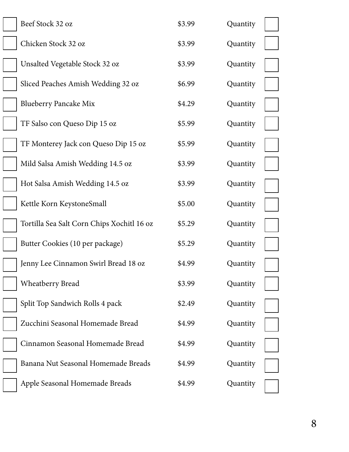| Beef Stock 32 oz                           | \$3.99 | Quantity |  |
|--------------------------------------------|--------|----------|--|
| Chicken Stock 32 oz                        | \$3.99 | Quantity |  |
| Unsalted Vegetable Stock 32 oz             | \$3.99 | Quantity |  |
| Sliced Peaches Amish Wedding 32 oz         | \$6.99 | Quantity |  |
| <b>Blueberry Pancake Mix</b>               | \$4.29 | Quantity |  |
| TF Salso con Queso Dip 15 oz               | \$5.99 | Quantity |  |
| TF Monterey Jack con Queso Dip 15 oz       | \$5.99 | Quantity |  |
| Mild Salsa Amish Wedding 14.5 oz           | \$3.99 | Quantity |  |
| Hot Salsa Amish Wedding 14.5 oz            | \$3.99 | Quantity |  |
| Kettle Korn KeystoneSmall                  | \$5.00 | Quantity |  |
| Tortilla Sea Salt Corn Chips Xochitl 16 oz | \$5.29 | Quantity |  |
| Butter Cookies (10 per package)            | \$5.29 | Quantity |  |
| Jenny Lee Cinnamon Swirl Bread 18 oz       | \$4.99 | Quantity |  |
| <b>Wheatberry Bread</b>                    | \$3.99 | Quantity |  |
| Split Top Sandwich Rolls 4 pack            | \$2.49 | Quantity |  |
| Zucchini Seasonal Homemade Bread           | \$4.99 | Quantity |  |
| Cinnamon Seasonal Homemade Bread           | \$4.99 | Quantity |  |
| Banana Nut Seasonal Homemade Breads        | \$4.99 | Quantity |  |
| Apple Seasonal Homemade Breads             | \$4.99 | Quantity |  |